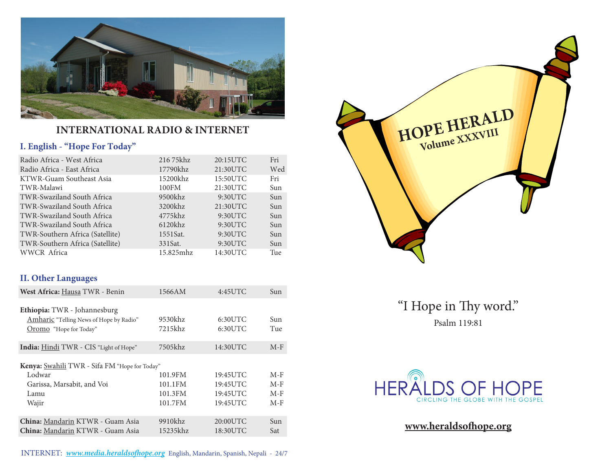

#### **International Radio & Internet**

#### **I. English - "Hope For Today"**

| Radio Africa - West Africa        | 216 75khz  | 20:15UTC | Fri |
|-----------------------------------|------------|----------|-----|
| Radio Africa - East Africa        | 17790khz   | 21:30UTC | Wed |
| KTWR-Guam Southeast Asia          | 15200khz   | 15:50UTC | Fri |
| TWR-Malawi                        | 100FM      | 21:30UTC | Sun |
| <b>TWR-Swaziland South Africa</b> | 9500khz    | 9:30UTC  | Sun |
| TWR-Swaziland South Africa        | 3200khz    | 21:30UTC | Sun |
| TWR-Swaziland South Africa        | 4775khz    | 9:30UTC  | Sun |
| TWR-Swaziland South Africa        | $6120$ khz | 9:30UTC  | Sun |
| TWR-Southern Africa (Satellite)   | 1551Sat.   | 9:30UTC  | Sun |
| TWR-Southern Africa (Satellite)   | 331Sat.    | 9:30UTC  | Sun |
| WWCR Africa                       | 15.825mhz  | 14:30UTC | Tue |

#### **II. Other Languages**

| West Africa: Hausa TWR - Benin                                                                                | 1566AM                                   | $4:45$ UTC                                   | Sun                              |
|---------------------------------------------------------------------------------------------------------------|------------------------------------------|----------------------------------------------|----------------------------------|
| Ethiopia: TWR - Johannesburg<br>Amharic "Telling News of Hope by Radio"<br>Oromo "Hope for Today"             | 9530khz<br>7215khz                       | $6:30$ UTC<br>6:30UTC                        | Sun<br>Tue                       |
| India: Hindi TWR - CIS "Light of Hope"                                                                        | 7505khz                                  | 14:30UTC                                     | $M-F$                            |
| <b>Kenya:</b> Swahili TWR - Sifa FM "Hope for Today"<br>Lodwar<br>Garissa, Marsabit, and Voi<br>Lamu<br>Wajir | 101.9FM<br>101.1FM<br>101.3FM<br>101.7FM | 19:45UTC<br>19:45UTC<br>19:45UTC<br>19:45UTC | $M-F$<br>$M-F$<br>$M-F$<br>$M-F$ |
| China: Mandarin KTWR - Guam Asia<br>China: Mandarin KTWR - Guam Asia                                          | 9910khz<br>15235khz                      | 20:00UTC<br>18:30UTC                         | Sun<br>Sat                       |





"I Hope in Thy word." Psalm 119:81



**www.heraldsofhope.org**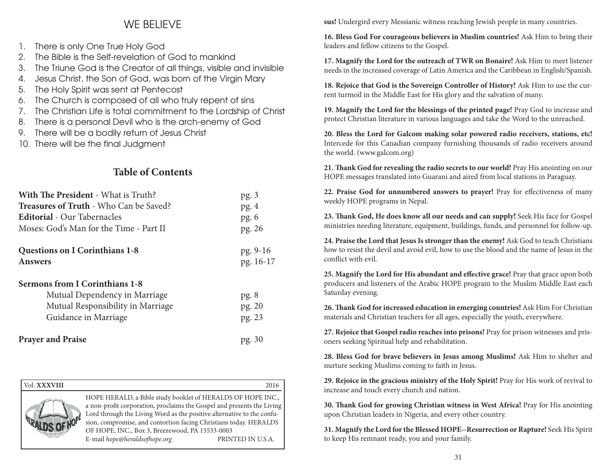#### WE BELIEVE

- 1. There is only One True Holy God
- 2. The Bible is the Self-revelation of God to mankind
- 3. The Triune God is the Creator of all things, visible and invisible
- 4. Jesus Christ, the Son of God, was born of the Virgin Mary
- 5. The Holy Spirit was sent at Pentecost
- 6. The Church is composed of all who truly repent of sins
- 7. The Christian Life is total commitment to the Lordship of Christ
- 8. There is a personal Devil who is the arch-enemy of God
- 9. There will be a bodily return of Jesus Christ
- 10. There will be the final Judgment

#### **Table of Contents**

| <b>With The President - What is Truth?</b>    | pg.3      |
|-----------------------------------------------|-----------|
| <b>Treasures of Truth - Who Can be Saved?</b> | pg.4      |
| <b>Editorial</b> - Our Tabernacles            | pg.6      |
| Moses: God's Man for the Time - Part II       | pg. 26    |
| <b>Questions on I Corinthians 1-8</b>         | pg. 9-16  |
| <b>Answers</b>                                | pg. 16-17 |
| <b>Sermons from I Corinthians 1-8</b>         |           |
| Mutual Dependency in Marriage                 | pg.8      |
| Mutual Responsibility in Marriage             | pg. 20    |
| Guidance in Marriage                          | pg. 23    |
| <b>Prayer and Praise</b>                      | pg. 30    |

| Vol. XXXVIII |                                                                                                                                                                                                                                                                                                                                                                          | 2016              |
|--------------|--------------------------------------------------------------------------------------------------------------------------------------------------------------------------------------------------------------------------------------------------------------------------------------------------------------------------------------------------------------------------|-------------------|
|              | HOPE HERALD, a Bible study booklet of HERALDS OF HOPE INC.,<br>a non-profit corporation, proclaims the Gospel and presents the Living<br>Lord through the Living Word as the positive alternative to the confu-<br>sion, compromise, and contortion facing Christians today. HERALDS<br>OF HOPE, INC., Box 3, Breezewood, PA 15533-0003<br>E-mail hope@heraldsofhope.org | PRINTED IN U.S.A. |

**sus!** Undergird every Messianic witness reaching Jewish people in many countries.

**16. Bless God For courageous believers in Muslim countries!** Ask Him to bring their leaders and fellow citizens to the Gospel.

**17. Magnify the Lord for the outreach of TWR on Bonaire!** Ask Him to meet listener needs in the increased coverage of Latin America and the Caribbean in English/Spanish.

**18. Rejoice that God is the Sovereign Controller of History!** Ask Him to use the current turmoil in the Middle East for His glory and the salvation of many.

**19. Magnify the Lord for the blessings of the printed page!** Pray God to increase and protect Christian literature in various languages and take the Word to the unreached.

**20. Bless the Lord for Galcom making solar powered radio receivers, stations, etc!**  Intercede for this Canadian company furnishing thousands of radio receivers around the world. (www.galcom.org)

**21. Thank God for revealing the radio secrets to our world!** Pray His anointing on our HOPE messages translated into Guarani and aired from local stations in Paraguay.

**22. Praise God for unnumbered answers to prayer!** Pray for effectiveness of many weekly HOPE programs in Nepal.

**23. Thank God, He does know all our needs and can supply!** Seek His face for Gospel ministries needing literature, equipment, buildings, funds, and personnel for follow-up.

**24. Praise the Lord that Jesus Is stronger than the enemy!** Ask God to teach Christians how to resist the devil and avoid evil, how to use the blood and the name of Jesus in the conflict with evil.

**25. Magnify the Lord for His abundant and effective grace!** Pray that grace upon both producers and listeners of the Arabic HOPE program to the Muslim Middle East each Saturday evening.

**26. Thank God for increased education in emerging countries!** Ask Him For Christian materials and Christian teachers for all ages, especially the youth, everywhere.

**27. Rejoice that Gospel radio reaches into prisons!** Pray for prison witnesses and prisoners seeking Spiritual help and rehabilitation.

**28. Bless God for brave believers in Jesus among Muslims!** Ask Him to shelter and nurture seeking Muslims coming to faith in Jesus.

**29. Rejoice in the gracious ministry of the Holy Spirit!** Pray for His work of revival to increase and touch every church and nation.

**30. Thank God for growing Christian witness in West Africa!** Pray for His anointing upon Christian leaders in Nigeria, and every other country.

**31. Magnify the Lord for the Blessed HOPE--Resurrection or Rapture!** Seek His Spirit to keep His remnant ready, you and your family.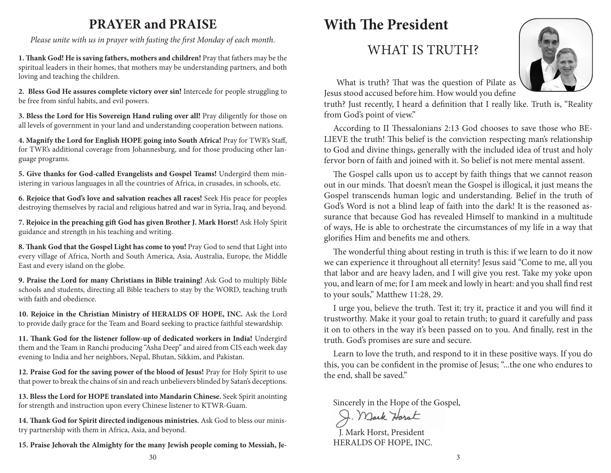### **PRAYER and PRAISE**

*Please unite with us in prayer with fasting the first Monday of each month.*

**1. Thank God! He is saving fathers, mothers and children!** Pray that fathers may be the spiritual leaders in their homes, that mothers may be understanding partners, and both loving and teaching the children.

**2. Bless God He assures complete victory over sin!** Intercede for people struggling to be free from sinful habits, and evil powers.

**3. Bless the Lord for His Sovereign Hand ruling over all!** Pray diligently for those on all levels of government in your land and understanding cooperation between nations.

**4. Magnify the Lord for English HOPE going into South Africa!** Pray for TWR's Staff, for TWR's additional coverage from Johannesburg, and for those producing other language programs.

**5. Give thanks for God-called Evangelists and Gospel Teams!** Undergird them ministering in various languages in all the countries of Africa, in crusades, in schools, etc.

**6. Rejoice that God's love and salvation reaches all races!** Seek His peace for peoples destroying themselves by racial and religious hatred and war in Syria, Iraq, and beyond.

**7. Rejoice in the preaching gift God has given Brother J. Mark Horst!** Ask Holy Spirit guidance and strength in his teaching and writing.

**8. Thank God that the Gospel Light has come to you!** Pray God to send that Light into every village of Africa, North and South America, Asia, Australia, Europe, the Middle East and every island on the globe.

**9. Praise the Lord for many Christians in Bible training!** Ask God to multiply Bible schools and students, directing all Bible teachers to stay by the WORD, teaching truth with faith and obedience.

**10. Rejoice in the Christian Ministry of HERALDS OF HOPE, INC.** Ask the Lord to provide daily grace for the Team and Board seeking to practice faithful stewardship.

**11. Thank God for the listener follow-up of dedicated workers in India!** Undergird them and the Team in Ranchi producing "Asha Deep" and aired from CIS each week day evening to India and her neighbors, Nepal, Bhutan, Sikkim, and Pakistan.

**12. Praise God for the saving power of the blood of Jesus!** Pray for Holy Spirit to use that power to break the chains of sin and reach unbelievers blinded by Satan's deceptions.

**13. Bless the Lord for HOPE translated into Mandarin Chinese.** Seek Spirit anointing for strength and instruction upon every Chinese listener to KTWR-Guam.

**14. Thank God for Spirit directed indigenous ministries.** Ask God to bless our ministry partnership with them in Africa, Asia, and beyond.

**15. Praise Jehovah the Almighty for the many Jewish people coming to Messiah, Je-**

## **With The President**

## WHAT IS TRUTH?



 What is truth? That was the question of Pilate as Jesus stood accused before him. How would you define

truth? Just recently, I heard a definition that I really like. Truth is, "Reality from God's point of view."

According to II Thessalonians 2:13 God chooses to save those who BE-LIEVE the truth! This belief is the conviction respecting man's relationship to God and divine things, generally with the included idea of trust and holy fervor born of faith and joined with it. So belief is not mere mental assent.

The Gospel calls upon us to accept by faith things that we cannot reason out in our minds. That doesn't mean the Gospel is illogical, it just means the Gospel transcends human logic and understanding. Belief in the truth of God's Word is not a blind leap of faith into the dark! It is the reasoned assurance that because God has revealed Himself to mankind in a multitude of ways, He is able to orchestrate the circumstances of my life in a way that glorifies Him and benefits me and others.

The wonderful thing about resting in truth is this: if we learn to do it now we can experience it throughout all eternity! Jesus said "Come to me, all you that labor and are heavy laden, and I will give you rest. Take my yoke upon you, and learn of me; for I am meek and lowly in heart: and you shall find rest to your souls," Matthew 11:28, 29.

I urge you, believe the truth. Test it; try it, practice it and you will find it trustworthy. Make it your goal to retain truth; to guard it carefully and pass it on to others in the way it's been passed on to you. And finally, rest in the truth. God's promises are sure and secure.

Learn to love the truth, and respond to it in these positive ways. If you do this, you can be confident in the promise of Jesus; "...the one who endures to the end, shall be saved."

Sincerely in the Hope of the Gospel,<br> $\bigcirc$ . *Mark Horat* 

J. Mark Horst, President HERALDS OF HOPE, INC.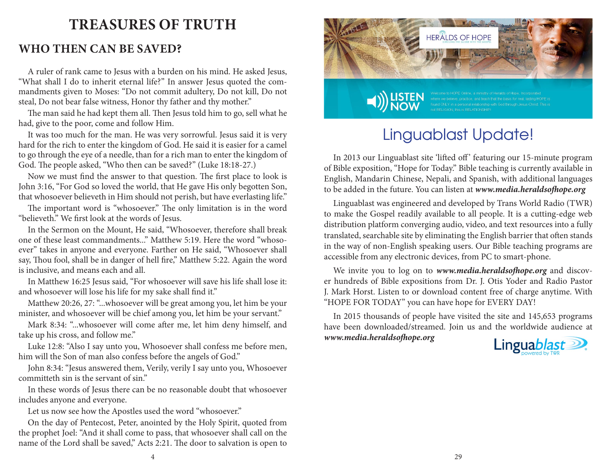### **Treasures of Truth**

#### **Who then can be saved?**

A ruler of rank came to Jesus with a burden on his mind. He asked Jesus, "What shall I do to inherit eternal life?" In answer Jesus quoted the commandments given to Moses: "Do not commit adultery, Do not kill, Do not steal, Do not bear false witness, Honor thy father and thy mother."

The man said he had kept them all. Then Jesus told him to go, sell what he had, give to the poor, come and follow Him.

It was too much for the man. He was very sorrowful. Jesus said it is very hard for the rich to enter the kingdom of God. He said it is easier for a camel to go through the eye of a needle, than for a rich man to enter the kingdom of God. The people asked, "Who then can be saved?" (Luke 18:18-27.)

Now we must find the answer to that question. The first place to look is John 3:16, "For God so loved the world, that He gave His only begotten Son, that whosoever believeth in Him should not perish, but have everlasting life."

The important word is "whosoever." The only limitation is in the word "believeth." We first look at the words of Jesus.

In the Sermon on the Mount, He said, "Whosoever, therefore shall break one of these least commandments..." Matthew 5:19. Here the word "whosoever" takes in anyone and everyone. Farther on He said, "Whosoever shall say, Thou fool, shall be in danger of hell fire," Matthew 5:22. Again the word is inclusive, and means each and all.

In Matthew 16:25 Jesus said, "For whosoever will save his life shall lose it: and whosoever will lose his life for my sake shall find it."

Matthew 20:26, 27: "...whosoever will be great among you, let him be your minister, and whosoever will be chief among you, let him be your servant."

Mark 8:34: "...whosoever will come after me, let him deny himself, and take up his cross, and follow me."

Luke 12:8: "Also I say unto you, Whosoever shall confess me before men, him will the Son of man also confess before the angels of God."

John 8:34: "Jesus answered them, Verily, verily I say unto you, Whosoever committeth sin is the servant of sin."

In these words of Jesus there can be no reasonable doubt that whosoever includes anyone and everyone.

Let us now see how the Apostles used the word "whosoever."

On the day of Pentecost, Peter, anointed by the Holy Spirit, quoted from the prophet Joel: "And it shall come to pass, that whosoever shall call on the name of the Lord shall be saved," Acts 2:21. The door to salvation is open to



## Linguablast Update!

In 2013 our Linguablast site 'lifted off' featuring our 15-minute program of Bible exposition, "Hope for Today." Bible teaching is currently available in English, Mandarin Chinese, Nepali, and Spanish, with additional languages to be added in the future. You can listen at *www.media.heraldsofhope.org*

Linguablast was engineered and developed by Trans World Radio (TWR) to make the Gospel readily available to all people. It is a cutting-edge web distribution platform converging audio, video, and text resources into a fully translated, searchable site by eliminating the English barrier that often stands in the way of non-English speaking users. Our Bible teaching programs are accessible from any electronic devices, from PC to smart-phone.

We invite you to log on to *www.media.heraldsofhope.org* and discover hundreds of Bible expositions from Dr. J. Otis Yoder and Radio Pastor J. Mark Horst. Listen to or download content free of charge anytime. With "HOPE FOR TODAY" you can have hope for EVERY DAY!

In 2015 thousands of people have visited the site and 145,653 programs have been downloaded/streamed. Join us and the worldwide audience at *www.media.heraldsofhope.org*

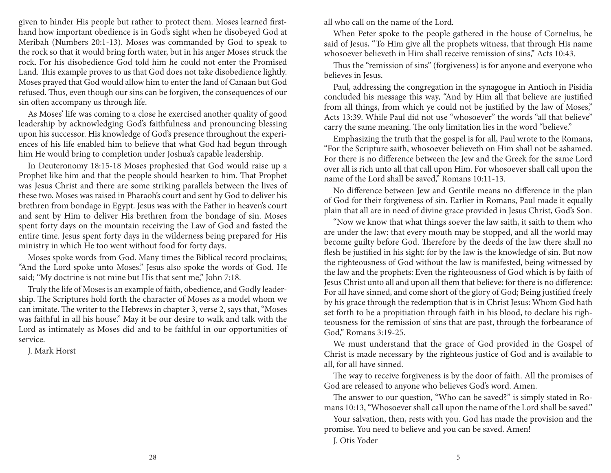given to hinder His people but rather to protect them. Moses learned firsthand how important obedience is in God's sight when he disobeyed God at Meribah (Numbers 20:1-13). Moses was commanded by God to speak to the rock so that it would bring forth water, but in his anger Moses struck the rock. For his disobedience God told him he could not enter the Promised Land. This example proves to us that God does not take disobedience lightly. Moses prayed that God would allow him to enter the land of Canaan but God refused. Thus, even though our sins can be forgiven, the consequences of our sin often accompany us through life.

As Moses' life was coming to a close he exercised another quality of good leadership by acknowledging God's faithfulness and pronouncing blessing upon his successor. His knowledge of God's presence throughout the experiences of his life enabled him to believe that what God had begun through him He would bring to completion under Joshua's capable leadership.

In Deuteronomy 18:15-18 Moses prophesied that God would raise up a Prophet like him and that the people should hearken to him. That Prophet was Jesus Christ and there are some striking parallels between the lives of these two. Moses was raised in Pharaoh's court and sent by God to deliver his brethren from bondage in Egypt. Jesus was with the Father in heaven's court and sent by Him to deliver His brethren from the bondage of sin. Moses spent forty days on the mountain receiving the Law of God and fasted the entire time. Jesus spent forty days in the wilderness being prepared for His ministry in which He too went without food for forty days.

Moses spoke words from God. Many times the Biblical record proclaims; "And the Lord spoke unto Moses." Jesus also spoke the words of God. He said; "My doctrine is not mine but His that sent me," John 7:18.

Truly the life of Moses is an example of faith, obedience, and Godly leadership. The Scriptures hold forth the character of Moses as a model whom we can imitate. The writer to the Hebrews in chapter 3, verse 2, says that, "Moses was faithful in all his house." May it be our desire to walk and talk with the Lord as intimately as Moses did and to be faithful in our opportunities of service.

J. Mark Horst

all who call on the name of the Lord.

When Peter spoke to the people gathered in the house of Cornelius, he said of Jesus, "To Him give all the prophets witness, that through His name whosoever believeth in Him shall receive remission of sins," Acts 10:43.

Thus the "remission of sins" (forgiveness) is for anyone and everyone who believes in Jesus.

Paul, addressing the congregation in the synagogue in Antioch in Pisidia concluded his message this way, "And by Him all that believe are justified from all things, from which ye could not be justified by the law of Moses," Acts 13:39. While Paul did not use "whosoever" the words "all that believe" carry the same meaning. The only limitation lies in the word "believe."

Emphasizing the truth that the gospel is for all, Paul wrote to the Romans, "For the Scripture saith, whosoever believeth on Him shall not be ashamed. For there is no difference between the Jew and the Greek for the same Lord over all is rich unto all that call upon Him. For whosoever shall call upon the name of the Lord shall be saved," Romans 10:11-13.

No difference between Jew and Gentile means no difference in the plan of God for their forgiveness of sin. Earlier in Romans, Paul made it equally plain that all are in need of divine grace provided in Jesus Christ, God's Son.

"Now we know that what things soever the law saith, it saith to them who are under the law: that every mouth may be stopped, and all the world may become guilty before God. Therefore by the deeds of the law there shall no flesh be justified in his sight: for by the law is the knowledge of sin. But now the righteousness of God without the law is manifested, being witnessed by the law and the prophets: Even the righteousness of God which is by faith of Jesus Christ unto all and upon all them that believe: for there is no difference: For all have sinned, and come short of the glory of God; Being justified freely by his grace through the redemption that is in Christ Jesus: Whom God hath set forth to be a propitiation through faith in his blood, to declare his righteousness for the remission of sins that are past, through the forbearance of God," Romans 3:19-25.

We must understand that the grace of God provided in the Gospel of Christ is made necessary by the righteous justice of God and is available to all, for all have sinned.

The way to receive forgiveness is by the door of faith. All the promises of God are released to anyone who believes God's word. Amen.

The answer to our question, "Who can be saved?" is simply stated in Romans 10:13, "Whosoever shall call upon the name of the Lord shall be saved."

Your salvation, then, rests with you. God has made the provision and the promise. You need to believe and you can be saved. Amen!

J. Otis Yoder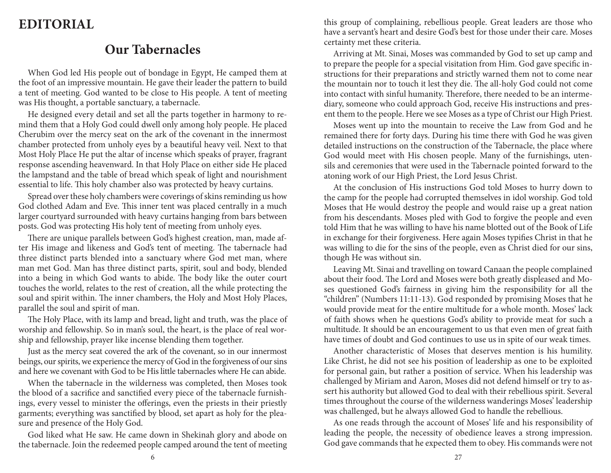### **Editorial**

### **Our Tabernacles**

When God led His people out of bondage in Egypt, He camped them at the foot of an impressive mountain. He gave their leader the pattern to build a tent of meeting. God wanted to be close to His people. A tent of meeting was His thought, a portable sanctuary, a tabernacle.

He designed every detail and set all the parts together in harmony to remind them that a Holy God could dwell only among holy people. He placed Cherubim over the mercy seat on the ark of the covenant in the innermost chamber protected from unholy eyes by a beautiful heavy veil. Next to that Most Holy Place He put the altar of incense which speaks of prayer, fragrant response ascending heavenward. In that Holy Place on either side He placed the lampstand and the table of bread which speak of light and nourishment essential to life. This holy chamber also was protected by heavy curtains.

Spread over these holy chambers were coverings of skins reminding us how God clothed Adam and Eve. This inner tent was placed centrally in a much larger courtyard surrounded with heavy curtains hanging from bars between posts. God was protecting His holy tent of meeting from unholy eyes.

There are unique parallels between God's highest creation, man, made after His image and likeness and God's tent of meeting. The tabernacle had three distinct parts blended into a sanctuary where God met man, where man met God. Man has three distinct parts, spirit, soul and body, blended into a being in which God wants to abide. The body like the outer court touches the world, relates to the rest of creation, all the while protecting the soul and spirit within. The inner chambers, the Holy and Most Holy Places, parallel the soul and spirit of man.

The Holy Place, with its lamp and bread, light and truth, was the place of worship and fellowship. So in man's soul, the heart, is the place of real worship and fellowship, prayer like incense blending them together.

Just as the mercy seat covered the ark of the covenant, so in our innermost beings, our spirits, we experience the mercy of God in the forgiveness of our sins and here we covenant with God to be His little tabernacles where He can abide.

When the tabernacle in the wilderness was completed, then Moses took the blood of a sacrifice and sanctified every piece of the tabernacle furnishings, every vessel to minister the offerings, even the priests in their priestly garments; everything was sanctified by blood, set apart as holy for the pleasure and presence of the Holy God.

God liked what He saw. He came down in Shekinah glory and abode on the tabernacle. Join the redeemed people camped around the tent of meeting this group of complaining, rebellious people. Great leaders are those who have a servant's heart and desire God's best for those under their care. Moses certainty met these criteria.

Arriving at Mt. Sinai, Moses was commanded by God to set up camp and to prepare the people for a special visitation from Him. God gave specific instructions for their preparations and strictly warned them not to come near the mountain nor to touch it lest they die. The all-holy God could not come into contact with sinful humanity. Therefore, there needed to be an intermediary, someone who could approach God, receive His instructions and present them to the people. Here we see Moses as a type of Christ our High Priest.

Moses went up into the mountain to receive the Law from God and he remained there for forty days. During his time there with God he was given detailed instructions on the construction of the Tabernacle, the place where God would meet with His chosen people. Many of the furnishings, utensils and ceremonies that were used in the Tabernacle pointed forward to the atoning work of our High Priest, the Lord Jesus Christ.

At the conclusion of His instructions God told Moses to hurry down to the camp for the people had corrupted themselves in idol worship. God told Moses that He would destroy the people and would raise up a great nation from his descendants. Moses pled with God to forgive the people and even told Him that he was willing to have his name blotted out of the Book of Life in exchange for their forgiveness. Here again Moses typifies Christ in that he was willing to die for the sins of the people, even as Christ died for our sins, though He was without sin.

Leaving Mt. Sinai and travelling on toward Canaan the people complained about their food. The Lord and Moses were both greatly displeased and Moses questioned God's fairness in giving him the responsibility for all the "children" (Numbers 11:11-13). God responded by promising Moses that he would provide meat for the entire multitude for a whole month. Moses' lack of faith shows when he questions God's ability to provide meat for such a multitude. It should be an encouragement to us that even men of great faith have times of doubt and God continues to use us in spite of our weak times.

Another characteristic of Moses that deserves mention is his humility. Like Christ, he did not see his position of leadership as one to be exploited for personal gain, but rather a position of service. When his leadership was challenged by Miriam and Aaron, Moses did not defend himself or try to assert his authority but allowed God to deal with their rebellious spirit. Several times throughout the course of the wilderness wanderings Moses' leadership was challenged, but he always allowed God to handle the rebellious.

As one reads through the account of Moses' life and his responsibility of leading the people, the necessity of obedience leaves a strong impression. God gave commands that he expected them to obey. His commands were not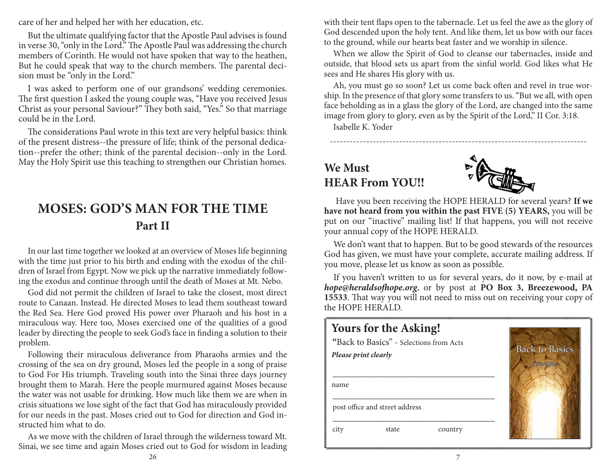care of her and helped her with her education, etc.

But the ultimate qualifying factor that the Apostle Paul advises is found in verse 30, "only in the Lord." The Apostle Paul was addressing the church members of Corinth. He would not have spoken that way to the heathen, But he could speak that way to the church members. The parental decision must be "only in the Lord."

I was asked to perform one of our grandsons' wedding ceremonies. The first question I asked the young couple was, "Have you received Jesus Christ as your personal Saviour?" They both said, "Yes." So that marriage could be in the Lord.

The considerations Paul wrote in this text are very helpful basics: think of the present distress--the pressure of life; think of the personal dedication--prefer the other; think of the parental decision--only in the Lord. May the Holy Spirit use this teaching to strengthen our Christian homes.

#### **MOSES: GOD'S MAN FOR THE TIME Part II**

In our last time together we looked at an overview of Moses life beginning with the time just prior to his birth and ending with the exodus of the children of Israel from Egypt. Now we pick up the narrative immediately following the exodus and continue through until the death of Moses at Mt. Nebo.

God did not permit the children of Israel to take the closest, most direct route to Canaan. Instead. He directed Moses to lead them southeast toward the Red Sea. Here God proved His power over Pharaoh and his host in a miraculous way. Here too, Moses exercised one of the qualities of a good leader by directing the people to seek God's face in finding a solution to their problem.

Following their miraculous deliverance from Pharaohs armies and the crossing of the sea on dry ground, Moses led the people in a song of praise to God For His triumph. Traveling south into the Sinai three days journey brought them to Marah. Here the people murmured against Moses because the water was not usable for drinking. How much like them we are when in crisis situations we lose sight of the fact that God has miraculously provided for our needs in the past. Moses cried out to God for direction and God instructed him what to do.

As we move with the children of Israel through the wilderness toward Mt. Sinai, we see time and again Moses cried out to God for wisdom in leading with their tent flaps open to the tabernacle. Let us feel the awe as the glory of God descended upon the holy tent. And like them, let us bow with our faces to the ground, while our hearts beat faster and we worship in silence.

When we allow the Spirit of God to cleanse our tabernacles, inside and outside, that blood sets us apart from the sinful world. God likes what He sees and He shares His glory with us.

Ah, you must go so soon? Let us come back often and revel in true worship. In the presence of that glory some transfers to us. "But we all, with open face beholding as in a glass the glory of the Lord, are changed into the same image from glory to glory, even as by the Spirit of the Lord," II Cor. 3:18.

------------------------------------------------------------------------------

Isabelle K. Yoder

### **We Must HEAR From YOU!!**



Have you been receiving the HOPE HERALD for several years? **If we have not heard from you within the past FIVE (5) YEARS,** you will be put on our "inactive" mailing list! If that happens, you will not receive your annual copy of the HOPE HERALD.

We don't want that to happen. But to be good stewards of the resources God has given, we must have your complete, accurate mailing address. If you move, please let us know as soon as possible.

If you haven't written to us for several years, do it now, by e-mail at *hope@heraldsofhope.org*, or by post at **PO Box 3, Breezewood, PA 15533**. That way you will not need to miss out on receiving your copy of the HOPE HERALD.

#### **Yours for the Asking! "**Back to Basics" - Selections from Acts **Back to Basics** *Please print clearly*  $\frac{1}{2}$  ,  $\frac{1}{2}$  ,  $\frac{1}{2}$  ,  $\frac{1}{2}$  ,  $\frac{1}{2}$  ,  $\frac{1}{2}$  ,  $\frac{1}{2}$  ,  $\frac{1}{2}$  ,  $\frac{1}{2}$  ,  $\frac{1}{2}$  ,  $\frac{1}{2}$  ,  $\frac{1}{2}$  ,  $\frac{1}{2}$  ,  $\frac{1}{2}$  ,  $\frac{1}{2}$  ,  $\frac{1}{2}$  ,  $\frac{1}{2}$  ,  $\frac{1}{2}$  ,  $\frac{1$  name  $\frac{1}{2}$  ,  $\frac{1}{2}$  ,  $\frac{1}{2}$  ,  $\frac{1}{2}$  ,  $\frac{1}{2}$  ,  $\frac{1}{2}$  ,  $\frac{1}{2}$  ,  $\frac{1}{2}$  ,  $\frac{1}{2}$  ,  $\frac{1}{2}$  ,  $\frac{1}{2}$  ,  $\frac{1}{2}$  ,  $\frac{1}{2}$  ,  $\frac{1}{2}$  ,  $\frac{1}{2}$  ,  $\frac{1}{2}$  ,  $\frac{1}{2}$  ,  $\frac{1}{2}$  ,  $\frac{1$  post office and street address  $\frac{1}{2}$  ,  $\frac{1}{2}$  ,  $\frac{1}{2}$  ,  $\frac{1}{2}$  ,  $\frac{1}{2}$  ,  $\frac{1}{2}$  ,  $\frac{1}{2}$  ,  $\frac{1}{2}$  ,  $\frac{1}{2}$  ,  $\frac{1}{2}$  ,  $\frac{1}{2}$  ,  $\frac{1}{2}$  ,  $\frac{1}{2}$  ,  $\frac{1}{2}$  ,  $\frac{1}{2}$  ,  $\frac{1}{2}$  ,  $\frac{1}{2}$  ,  $\frac{1}{2}$  ,  $\frac{1$ city state country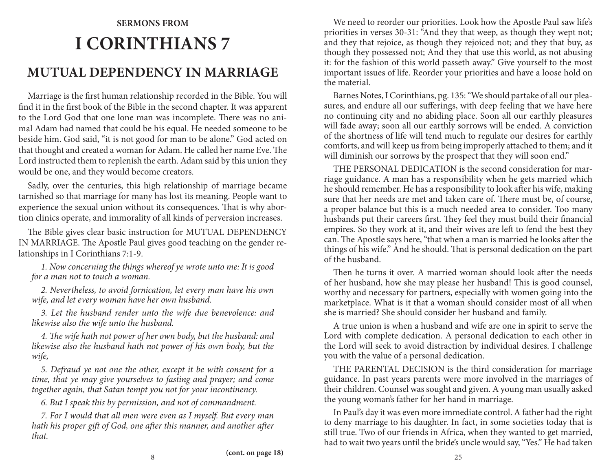# **Sermons from I Corinthians 7 MUTUAL DEPENDENCY IN MARRIAGE**

Marriage is the first human relationship recorded in the Bible. You will find it in the first book of the Bible in the second chapter. It was apparent to the Lord God that one lone man was incomplete. There was no animal Adam had named that could be his equal. He needed someone to be beside him. God said, "it is not good for man to be alone." God acted on that thought and created a woman for Adam. He called her name Eve. The Lord instructed them to replenish the earth. Adam said by this union they would be one, and they would become creators.

Sadly, over the centuries, this high relationship of marriage became tarnished so that marriage for many has lost its meaning. People want to experience the sexual union without its consequences. That is why abortion clinics operate, and immorality of all kinds of perversion increases.

The Bible gives clear basic instruction for MUTUAL DEPENDENCY IN MARRIAGE. The Apostle Paul gives good teaching on the gender relationships in I Corinthians 7:1-9.

*1. Now concerning the things whereof ye wrote unto me: It is good for a man not to touch a woman.*

*2. Nevertheless, to avoid fornication, let every man have his own wife, and let every woman have her own husband.*

*3. Let the husband render unto the wife due benevolence: and likewise also the wife unto the husband.*

*4. The wife hath not power of her own body, but the husband: and likewise also the husband hath not power of his own body, but the wife,*

*5. Defraud ye not one the other, except it be with consent for a time, that ye may give yourselves to fasting and prayer; and come together again, that Satan tempt you not for your incontinency.*

*6. But I speak this by permission, and not of commandment.*

*7. For I would that all men were even as I myself. But every man hath his proper gift of God, one after this manner, and another after that.*

We need to reorder our priorities. Look how the Apostle Paul saw life's priorities in verses 30-31: "And they that weep, as though they wept not; and they that rejoice, as though they rejoiced not; and they that buy, as though they possessed not; And they that use this world, as not abusing it: for the fashion of this world passeth away." Give yourself to the most important issues of life. Reorder your priorities and have a loose hold on the material.

Barnes Notes, I Corinthians, pg. 135: "We should partake of all our pleasures, and endure all our sufferings, with deep feeling that we have here no continuing city and no abiding place. Soon all our earthly pleasures will fade away; soon all our earthly sorrows will be ended. A conviction of the shortness of life will tend much to regulate our desires for earthly comforts, and will keep us from being improperly attached to them; and it will diminish our sorrows by the prospect that they will soon end."

THE PERSONAL DEDICATION is the second consideration for marriage guidance. A man has a responsibility when he gets married which he should remember. He has a responsibility to look after his wife, making sure that her needs are met and taken care of. There must be, of course, a proper balance but this is a much needed area to consider. Too many husbands put their careers first. They feel they must build their financial empires. So they work at it, and their wives are left to fend the best they can. The Apostle says here, "that when a man is married he looks after the things of his wife." And he should. That is personal dedication on the part of the husband.

Then he turns it over. A married woman should look after the needs of her husband, how she may please her husband! This is good counsel, worthy and necessary for partners, especially with women going into the marketplace. What is it that a woman should consider most of all when she is married? She should consider her husband and family.

A true union is when a husband and wife are one in spirit to serve the Lord with complete dedication. A personal dedication to each other in the Lord will seek to avoid distraction by individual desires. I challenge you with the value of a personal dedication.

THE PARENTAL DECISION is the third consideration for marriage guidance. In past years parents were more involved in the marriages of their children. Counsel was sought and given. A young man usually asked the young woman's father for her hand in marriage.

In Paul's day it was even more immediate control. A father had the right to deny marriage to his daughter. In fact, in some societies today that is still true. Two of our friends in Africa, when they wanted to get married, had to wait two years until the bride's uncle would say, "Yes." He had taken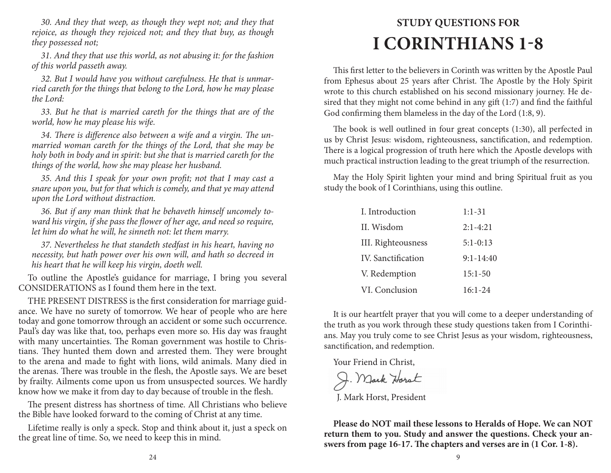*30. And they that weep, as though they wept not; and they that rejoice, as though they rejoiced not; and they that buy, as though they possessed not;*

*31. And they that use this world, as not abusing it: for the fashion of this world passeth away.*

*32. But I would have you without carefulness. He that is unmarried careth for the things that belong to the Lord, how he may please the Lord:*

*33. But he that is married careth for the things that are of the world, how he may please his wife.*

*34. There is difference also between a wife and a virgin. The unmarried woman careth for the things of the Lord, that she may be holy both in body and in spirit: but she that is married careth for the things of the world, how she may please her husband.*

*35. And this I speak for your own profit; not that I may cast a snare upon you, but for that which is comely, and that ye may attend upon the Lord without distraction.*

*36. But if any man think that he behaveth himself uncomely toward his virgin, if she pass the flower of her age, and need so require, let him do what he will, he sinneth not: let them marry.*

*37. Nevertheless he that standeth stedfast in his heart, having no necessity, but hath power over his own will, and hath so decreed in his heart that he will keep his virgin, doeth well.*

To outline the Apostle's guidance for marriage, I bring you several CONSIDERATIONS as I found them here in the text.

THE PRESENT DISTRESS is the first consideration for marriage guidance. We have no surety of tomorrow. We hear of people who are here today and gone tomorrow through an accident or some such occurrence. Paul's day was like that, too, perhaps even more so. His day was fraught with many uncertainties. The Roman government was hostile to Christians. They hunted them down and arrested them. They were brought to the arena and made to fight with lions, wild animals. Many died in the arenas. There was trouble in the flesh, the Apostle says. We are beset by frailty. Ailments come upon us from unsuspected sources. We hardly know how we make it from day to day because of trouble in the flesh.

The present distress has shortness of time. All Christians who believe the Bible have looked forward to the coming of Christ at any time.

Lifetime really is only a speck. Stop and think about it, just a speck on the great line of time. So, we need to keep this in mind.

# **Study Questions for I Corinthians 1-8**

This first letter to the believers in Corinth was written by the Apostle Paul from Ephesus about 25 years after Christ. The Apostle by the Holy Spirit wrote to this church established on his second missionary journey. He desired that they might not come behind in any gift (1:7) and find the faithful God confirming them blameless in the day of the Lord (1:8, 9).

The book is well outlined in four great concepts (1:30), all perfected in us by Christ Jesus: wisdom, righteousness, sanctification, and redemption. There is a logical progression of truth here which the Apostle develops with much practical instruction leading to the great triumph of the resurrection.

May the Holy Spirit lighten your mind and bring Spiritual fruit as you study the book of I Corinthians, using this outline.

| I. Introduction           | $1:1-31$      |
|---------------------------|---------------|
| II. Wisdom                | $2:1 - 4:21$  |
| III. Righteousness        | $5:1 - 0:13$  |
| <b>IV.</b> Sanctification | $9:1 - 14:40$ |
| V. Redemption             | $15:1-50$     |
| VI. Conclusion            | $16:1-24$     |

It is our heartfelt prayer that you will come to a deeper understanding of the truth as you work through these study questions taken from I Corinthians. May you truly come to see Christ Jesus as your wisdom, righteousness, sanctification, and redemption.

Your Friend in Christ,

J. Mark Horst J. Mark Horst, President

**Please do NOT mail these lessons to Heralds of Hope. We can NOT return them to you. Study and answer the questions. Check your answers from page 16-17. The chapters and verses are in (1 Cor. 1-8).**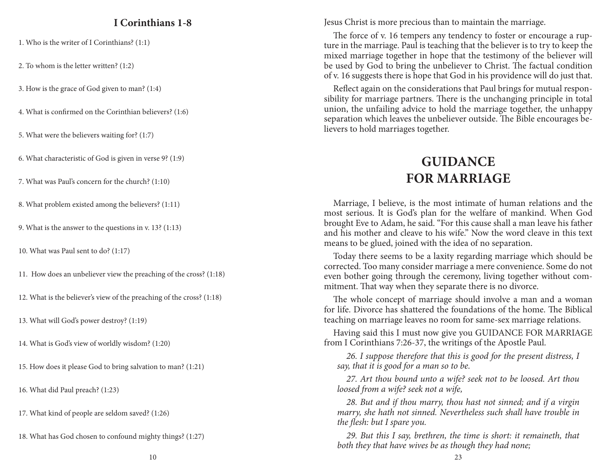#### **I Corinthians 1-8**

1. Who is the writer of I Corinthians? (1:1)

2. To whom is the letter written? (1:2)

3. How is the grace of God given to man? (1:4)

4. What is confirmed on the Corinthian believers? (1:6)

5. What were the believers waiting for? (1:7)

6. What characteristic of God is given in verse 9? (1:9)

7. What was Paul's concern for the church? (1:10)

8. What problem existed among the believers? (1:11)

9. What is the answer to the questions in v. 13? (1:13)

10. What was Paul sent to do? (1:17)

11. How does an unbeliever view the preaching of the cross? (1:18)

12. What is the believer's view of the preaching of the cross? (1:18)

13. What will God's power destroy? (1:19)

14. What is God's view of worldly wisdom? (1:20)

15. How does it please God to bring salvation to man? (1:21)

16. What did Paul preach? (1:23)

17. What kind of people are seldom saved? (1:26)

18. What has God chosen to confound mighty things? (1:27)

Jesus Christ is more precious than to maintain the marriage.

The force of v. 16 tempers any tendency to foster or encourage a rupture in the marriage. Paul is teaching that the believer is to try to keep the mixed marriage together in hope that the testimony of the believer will be used by God to bring the unbeliever to Christ. The factual condition of v. 16 suggests there is hope that God in his providence will do just that.

Reflect again on the considerations that Paul brings for mutual responsibility for marriage partners. There is the unchanging principle in total union, the unfailing advice to hold the marriage together, the unhappy separation which leaves the unbeliever outside. The Bible encourages believers to hold marriages together.

### **Guidance For MARRIAGE**

Marriage, I believe, is the most intimate of human relations and the most serious. It is God's plan for the welfare of mankind. When God brought Eve to Adam, he said. "For this cause shall a man leave his father and his mother and cleave to his wife." Now the word cleave in this text means to be glued, joined with the idea of no separation.

Today there seems to be a laxity regarding marriage which should be corrected. Too many consider marriage a mere convenience. Some do not even bother going through the ceremony, living together without commitment. That way when they separate there is no divorce.

The whole concept of marriage should involve a man and a woman for life. Divorce has shattered the foundations of the home. The Biblical teaching on marriage leaves no room for same-sex marriage relations.

Having said this I must now give you GUIDANCE FOR MARRIAGE from I Corinthians 7:26-37, the writings of the Apostle Paul.

*26. I suppose therefore that this is good for the present distress, I say, that it is good for a man so to be.*

*27. Art thou bound unto a wife? seek not to be loosed. Art thou loosed from a wife? seek not a wife,*

*28. But and if thou marry, thou hast not sinned; and if a virgin marry, she hath not sinned. Nevertheless such shall have trouble in the flesh: but I spare you.*

*29. But this I say, brethren, the time is short: it remaineth, that both they that have wives be as though they had none;*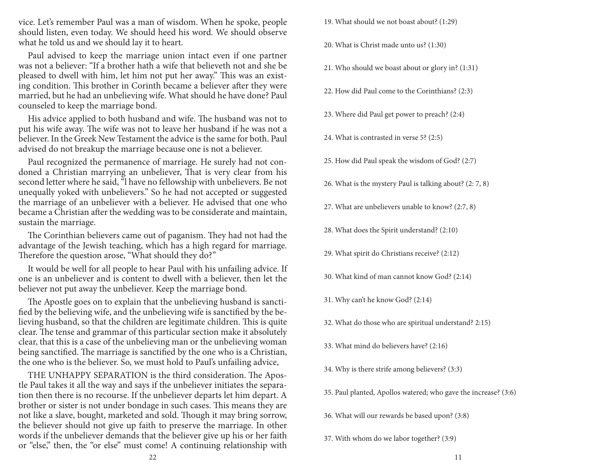vice. Let's remember Paul was a man of wisdom. When he spoke, people should listen, even today. We should heed his word. We should observe what he told us and we should lay it to heart.

Paul advised to keep the marriage union intact even if one partner was not a believer: "If a brother hath a wife that believeth not and she be pleased to dwell with him, let him not put her away." This was an existing condition. This brother in Corinth became a believer after they were married, but he had an unbelieving wife. What should he have done? Paul counseled to keep the marriage bond.

His advice applied to both husband and wife. The husband was not to put his wife away. The wife was not to leave her husband if he was not a believer. In the Greek New Testament the advice is the same for both. Paul advised do not breakup the marriage because one is not a believer.

Paul recognized the permanence of marriage. He surely had not condoned a Christian marrying an unbeliever, That is very clear from his second letter where he said, "l have no fellowship with unbelievers. Be not unequally yoked with unbelievers." So he had not accepted or suggested the marriage of an unbeliever with a believer. He advised that one who became a Christian after the wedding was to be considerate and maintain, sustain the marriage.

The Corinthian believers came out of paganism. They had not had the advantage of the Jewish teaching, which has a high regard for marriage. Therefore the question arose, "What should they do?"

It would be well for all people to hear Paul with his unfailing advice. If one is an unbeliever and is content to dwell with a believer, then let the believer not put away the unbeliever. Keep the marriage bond.

The Apostle goes on to explain that the unbelieving husband is sanctified by the believing wife, and the unbelieving wife is sanctified by the believing husband, so that the children are legitimate children. This is quite clear. The tense and grammar of this particular section make it absolutely clear, that this is a case of the unbelieving man or the unbelieving woman being sanctified. The marriage is sanctified by the one who is a Christian, the one who is the believer. So, we must hold to Paul's unfailing advice,

THE UNHAPPY SEPARATION is the third consideration. The Apostle Paul takes it all the way and says if the unbeliever initiates the separation then there is no recourse. If the unbeliever departs let him depart. A brother or sister is not under bondage in such cases. This means they are not like a slave, bought, marketed and sold. Though it may bring sorrow, the believer should not give up faith to preserve the marriage. In other words if the unbeliever demands that the believer give up his or her faith or "else," then, the "or else" must come! A continuing relationship with

19. What should we not boast about? (1:29)

20. What is Christ made unto us? (1:30)

- 21. Who should we boast about or glory in? (1:31)
- 22. How did Paul come to the Corinthians? (2:3)
- 23. Where did Paul get power to preach? (2:4)
- 24. What is contrasted in verse 5? (2:5)
- 25. How did Paul speak the wisdom of God? (2:7)
- 26. What is the mystery Paul is talking about? (2: 7, 8)
- 27. What are unbelievers unable to know? (2:7, 8)
- 28. What does the Spirit understand? (2:10)
- 29. What spirit do Christians receive? (2:12)
- 30. What kind of man cannot know God? (2:14)
- 31. Why can't he know God? (2:14)
- 32. What do those who are spiritual understand? 2:15)
- 33. What mind do believers have? (2:16)
- 34. Why is there strife among believers? (3:3)
- 35. Paul planted, Apollos watered; who gave the increase? (3:6)
- 36. What will our rewards be based upon? (3:8)
- 37. With whom do we labor together? (3:9)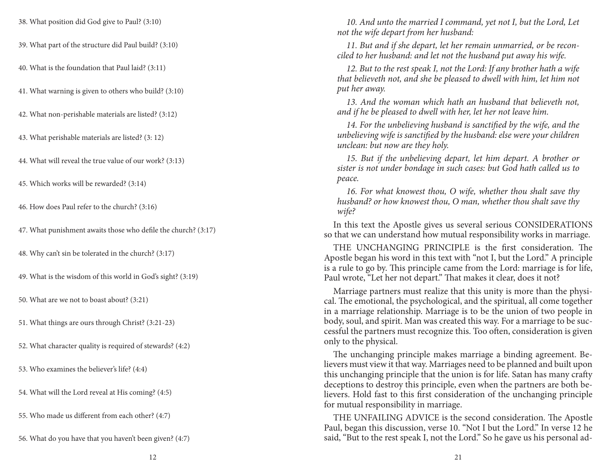38. What position did God give to Paul? (3:10)

39. What part of the structure did Paul build? (3:10)

40. What is the foundation that Paul laid? (3:11)

41. What warning is given to others who build? (3:10)

42. What non-perishable materials are listed? (3:12)

43. What perishable materials are listed? (3: 12)

44. What will reveal the true value of our work? (3:13)

45. Which works will be rewarded? (3:14)

46. How does Paul refer to the church? (3:16)

47. What punishment awaits those who defile the church? (3:17)

48. Why can't sin be tolerated in the church? (3:17)

49. What is the wisdom of this world in God's sight? (3:19)

50. What are we not to boast about? (3:21)

51. What things are ours through Christ? (3:21-23)

52. What character quality is required of stewards? (4:2)

53. Who examines the believer's life? (4:4)

54. What will the Lord reveal at His coming? (4:5)

55. Who made us different from each other? (4:7)

56. What do you have that you haven't been given? (4:7)

10. And unto the married I command, yet not I, but the Lord, Let *not the wife depart from her husband:*

*11. But and if she depart, let her remain unmarried, or be reconciled to her husband: and let not the husband put away his wife.*

*12. But to the rest speak I, not the Lord: If any brother hath a wife that believeth not, and she be pleased to dwell with him, let him not put her away.*

*13. And the woman which hath an husband that believeth not, and if he be pleased to dwell with her, let her not leave him.*

*14. For the unbelieving husband is sanctified by the wife, and the unbelieving wife is sanctified by the husband: else were your children unclean: but now are they holy.*

*15. But if the unbelieving depart, let him depart. A brother or sister is not under bondage in such cases: but God hath called us to peace.*

*16. For what knowest thou, O wife, whether thou shalt save thy husband? or how knowest thou, O man, whether thou shalt save thy wife?*

In this text the Apostle gives us several serious CONSIDERATIONS so that we can understand how mutual responsibility works in marriage.

THE UNCHANGING PRINCIPLE is the first consideration. The Apostle began his word in this text with "not I, but the Lord." A principle is a rule to go by. This principle came from the Lord: marriage is for life, Paul wrote, "Let her not depart." That makes it clear, does it not?

Marriage partners must realize that this unity is more than the physical. The emotional, the psychological, and the spiritual, all come together in a marriage relationship. Marriage is to be the union of two people in body, soul, and spirit. Man was created this way. For a marriage to be successful the partners must recognize this. Too often, consideration is given only to the physical.

The unchanging principle makes marriage a binding agreement. Believers must view it that way. Marriages need to be planned and built upon this unchanging principle that the union is for life. Satan has many crafty deceptions to destroy this principle, even when the partners are both believers. Hold fast to this first consideration of the unchanging principle for mutual responsibility in marriage.

THE UNFAILING ADVICE is the second consideration. The Apostle Paul, began this discussion, verse 10. "Not I but the Lord." In verse 12 he said, "But to the rest speak I, not the Lord." So he gave us his personal ad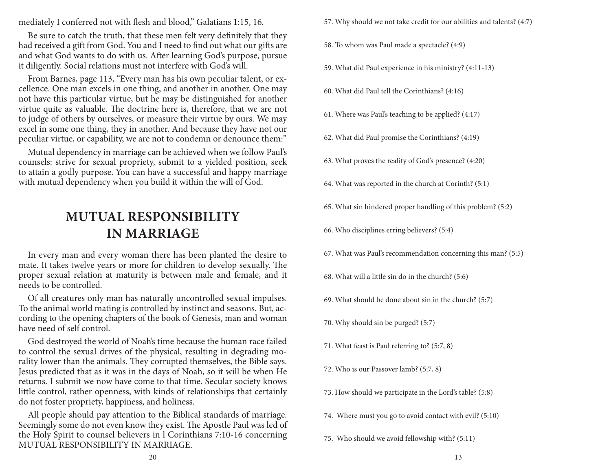mediately I conferred not with flesh and blood," Galatians 1:15, 16.

Be sure to catch the truth, that these men felt very definitely that they had received a gift from God. You and I need to find out what our gifts are and what God wants to do with us. After learning God's purpose, pursue it diligently. Social relations must not interfere with God's will.

From Barnes, page 113, "Every man has his own peculiar talent, or excellence. One man excels in one thing, and another in another. One may not have this particular virtue, but he may be distinguished for another virtue quite as valuable. The doctrine here is, therefore, that we are not to judge of others by ourselves, or measure their virtue by ours. We may excel in some one thing, they in another. And because they have not our peculiar virtue, or capability, we are not to condemn or denounce them:"

Mutual dependency in marriage can be achieved when we follow Paul's counsels: strive for sexual propriety, submit to a yielded position, seek to attain a godly purpose. You can have a successful and happy marriage with mutual dependency when you build it within the will of God.

### **MUTUAL RESPONSIBILITY IN MARRIAGE**

In every man and every woman there has been planted the desire to mate. It takes twelve years or more for children to develop sexually. The proper sexual relation at maturity is between male and female, and it needs to be controlled.

Of all creatures only man has naturally uncontrolled sexual impulses. To the animal world mating is controlled by instinct and seasons. But, according to the opening chapters of the book of Genesis, man and woman have need of self control.

God destroyed the world of Noah's time because the human race failed to control the sexual drives of the physical, resulting in degrading morality lower than the animals. They corrupted themselves, the Bible says. Jesus predicted that as it was in the days of Noah, so it will be when He returns. I submit we now have come to that time. Secular society knows little control, rather openness, with kinds of relationships that certainly do not foster propriety, happiness, and holiness.

All people should pay attention to the Biblical standards of marriage. Seemingly some do not even know they exist. The Apostle Paul was led of the Holy Spirit to counsel believers in l Corinthians 7:10-16 concerning MUTUAL RESPONSIBILITY IN MARRIAGE.

57. Why should we not take credit for our abilities and talents? (4:7)

- 58. To whom was Paul made a spectacle? (4:9)
- 59. What did Paul experience in his ministry? (4:11-13)
- 60. What did Paul tell the Corinthians? (4:16)
- 61. Where was Paul's teaching to be applied? (4:17)
- 62. What did Paul promise the Corinthians? (4:19)
- 63. What proves the reality of God's presence? (4:20)
- 64. What was reported in the church at Corinth? (5:1)
- 65. What sin hindered proper handling of this problem? (5:2)
- 66. Who disciplines erring believers? (5:4)
- 67. What was Paul's recommendation concerning this man? (5:5)
- 68. What will a little sin do in the church? (5:6)
- 69. What should be done about sin in the church? (5:7)
- 70. Why should sin be purged? (5:7)
- 71. What feast is Paul referring to? (5:7, 8)
- 72. Who is our Passover lamb? (5:7, 8)
- 73. How should we participate in the Lord's table? (5:8)
- 74. Where must you go to avoid contact with evil? (5:10)
- 75. Who should we avoid fellowship with? (5:11)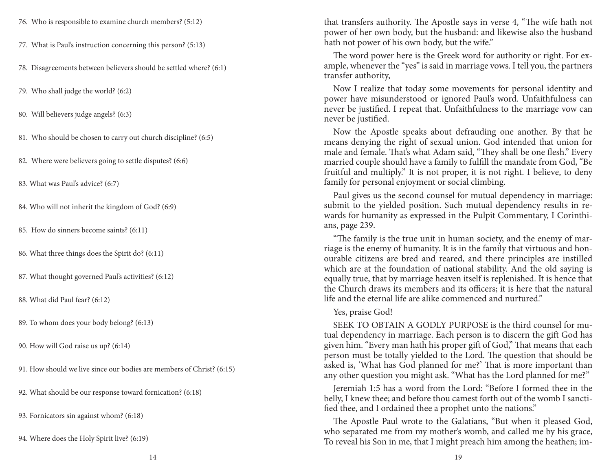- 76. Who is responsible to examine church members? (5:12)
- 77. What is Paul's instruction concerning this person? (5:13)
- 78. Disagreements between believers should be settled where? (6:1)
- 79. Who shall judge the world? (6:2)
- 80. Will believers judge angels? (6:3)
- 81. Who should be chosen to carry out church discipline? (6:5)
- 82. Where were believers going to settle disputes? (6:6)
- 83. What was Paul's advice? (6:7)
- 84. Who will not inherit the kingdom of God? (6:9)
- 85. How do sinners become saints? (6:11)
- 86. What three things does the Spirit do? (6:11)
- 87. What thought governed Paul's activities? (6:12)
- 88. What did Paul fear? (6:12)
- 89. To whom does your body belong? (6:13)
- 90. How will God raise us up? (6:14)
- 91. How should we live since our bodies are members of Christ? (6:15)
- 92. What should be our response toward fornication? (6:18)
- 93. Fornicators sin against whom? (6:18)
- 94. Where does the Holy Spirit live? (6:19)

that transfers authority. The Apostle says in verse 4, "The wife hath not power of her own body, but the husband: and likewise also the husband hath not power of his own body, but the wife."

The word power here is the Greek word for authority or right. For example, whenever the "yes" is said in marriage vows. I tell you, the partners transfer authority,

Now I realize that today some movements for personal identity and power have misunderstood or ignored Paul's word. Unfaithfulness can never be justified. I repeat that. Unfaithfulness to the marriage vow can never be justified.

Now the Apostle speaks about defrauding one another. By that he means denying the right of sexual union. God intended that union for male and female. That's what Adam said, "They shall be one flesh." Every married couple should have a family to fulfill the mandate from God, "Be fruitful and multiply." It is not proper, it is not right. I believe, to deny family for personal enjoyment or social climbing.

Paul gives us the second counsel for mutual dependency in marriage: submit to the yielded position. Such mutual dependency results in rewards for humanity as expressed in the Pulpit Commentary, I Corinthians, page 239.

"The family is the true unit in human society, and the enemy of marriage is the enemy of humanity. It is in the family that virtuous and honourable citizens are bred and reared, and there principles are instilled which are at the foundation of national stability. And the old saying is equally true, that by marriage heaven itself is replenished. It is hence that the Church draws its members and its officers; it is here that the natural life and the eternal life are alike commenced and nurtured."

#### Yes, praise God!

SEEK TO OBTAIN A GODLY PURPOSE is the third counsel for mutual dependency in marriage. Each person is to discern the gift God has given him. "Every man hath his proper gift of God," That means that each person must be totally yielded to the Lord. The question that should be asked is, 'What has God planned for me?' That is more important than any other question you might ask. "What has the Lord planned for me?"

Jeremiah 1:5 has a word from the Lord: "Before I formed thee in the belly, I knew thee; and before thou camest forth out of the womb I sanctified thee, and I ordained thee a prophet unto the nations."

The Apostle Paul wrote to the Galatians, "But when it pleased God, who separated me from my mother's womb, and called me by his grace, To reveal his Son in me, that I might preach him among the heathen; im-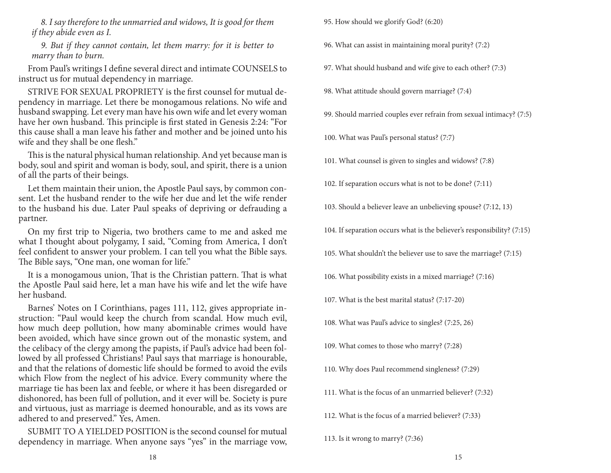*8. I say therefore to the unmarried and widows, It is good for them if they abide even as I.*

*9. But if they cannot contain, let them marry: for it is better to marry than to burn.*

From Paul's writings I define several direct and intimate COUNSELS to instruct us for mutual dependency in marriage.

STRIVE FOR SEXUAL PROPRIETY is the first counsel for mutual dependency in marriage. Let there be monogamous relations. No wife and husband swapping. Let every man have his own wife and let every woman have her own husband. This principle is first stated in Genesis 2:24: "For this cause shall a man leave his father and mother and be joined unto his wife and they shall be one flesh."

This is the natural physical human relationship. And yet because man is body, soul and spirit and woman is body, soul, and spirit, there is a union of all the parts of their beings.

Let them maintain their union, the Apostle Paul says, by common consent. Let the husband render to the wife her due and let the wife render to the husband his due. Later Paul speaks of depriving or defrauding a partner.

On my first trip to Nigeria, two brothers came to me and asked me what I thought about polygamy, I said, "Coming from America, I don't feel confident to answer your problem. I can tell you what the Bible says. The Bible says, "One man, one woman for life."

It is a monogamous union, That is the Christian pattern. That is what the Apostle Paul said here, let a man have his wife and let the wife have her husband.

Barnes' Notes on I Corinthians, pages 111, 112, gives appropriate instruction: "Paul would keep the church from scandal. How much evil, how much deep pollution, how many abominable crimes would have been avoided, which have since grown out of the monastic system, and the celibacy of the clergy among the papists, if Paul's advice had been followed by all professed Christians! Paul says that marriage is honourable, and that the relations of domestic life should be formed to avoid the evils which Flow from the neglect of his advice. Every community where the marriage tie has been lax and feeble, or where it has been disregarded or dishonored, has been full of pollution, and it ever will be. Society is pure and virtuous, just as marriage is deemed honourable, and as its vows are adhered to and preserved." Yes, Amen.

SUBMIT TO A YIELDED POSITION is the second counsel for mutual dependency in marriage. When anyone says "yes" in the marriage vow, 95. How should we glorify God? (6:20)

96. What can assist in maintaining moral purity? (7:2)

97. What should husband and wife give to each other? (7:3)

98. What attitude should govern marriage? (7:4)

99. Should married couples ever refrain from sexual intimacy? (7:5)

100. What was Paul's personal status? (7:7)

101. What counsel is given to singles and widows? (7:8)

102. If separation occurs what is not to be done? (7:11)

103. Should a believer leave an unbelieving spouse? (7:12, 13)

104. If separation occurs what is the believer's responsibility? (7:15)

105. What shouldn't the believer use to save the marriage? (7:15)

106. What possibility exists in a mixed marriage? (7:16)

107. What is the best marital status? (7:17-20)

108. What was Paul's advice to singles? (7:25, 26)

109. What comes to those who marry? (7:28)

110. Why does Paul recommend singleness? (7:29)

111. What is the focus of an unmarried believer? (7:32)

112. What is the focus of a married believer? (7:33)

113. Is it wrong to marry? (7:36)